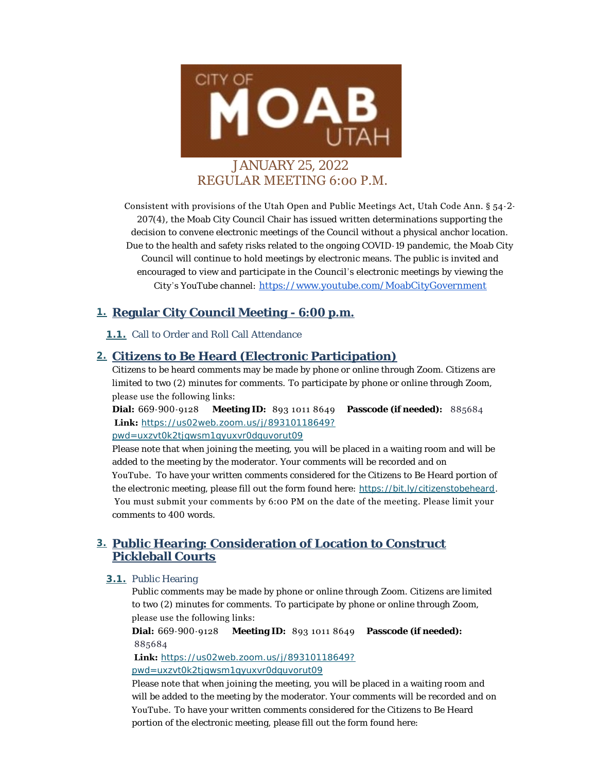

Consistent with provisions of the Utah Open and Public Meetings Act, Utah Code Ann. § 54-2- 207(4), the Moab City Council Chair has issued written determinations supporting the decision to convene electronic meetings of the Council without a physical anchor location. Due to the health and safety risks related to the ongoing COVID-19 pandemic, the Moab City Council will continue to hold meetings by electronic means. The public is invited and encouraged to view and participate in the Council's electronic meetings by viewing the City 's YouTube channel: [https://www.youtube.com/MoabCityGovernment](https://www.youtube.com/c/MoabCityGovernment)

# **Regular City Council Meeting - 6:00 p.m. 1.**

1.1. Call to Order and Roll Call Attendance

# **Citizens to Be Heard (Electronic Participation) 2.**

Citizens to be heard comments may be made by phone or online through Zoom. Citizens are limited to two (2) minutes for comments. To participate by phone or online through Zoom, please use the following links:

**Dial:** 669-900-9128 **Meeting ID:** 893 1011 8649 **Passcode (if needed):** 885684  **Link:** *[https://us02web.zoom.us/j/89310118649?](https://us02web.zoom.us/j/89310118649?pwd=UXZVT0k2TjQwSm1QYUxVR0dqUVorUT09) pwd=uxzvt0k2tjqwsm1qyuxvr0dquvorut09*

Please note that when joining the meeting, you will be placed in a waiting room and will be added to the meeting by the moderator. Your comments will be recorded and on YouTube. To have your written comments considered for the Citizens to Be Heard portion of the electronic meeting, please fill out the form found here: *<https://bit.ly/citizenstobeheard>*. You must submit your comments by 6:00 PM on the date of the meeting. Please limit your comments to 400 words.

# **Public Hearing: Consideration of Location to Construct 3. Pickleball Courts**

### **3.1.** Public Hearing

Public comments may be made by phone or online through Zoom. Citizens are limited to two (2) minutes for comments. To participate by phone or online through Zoom, please use the following links:

**Dial:** 669-900-9128 **Meeting ID:** 893 1011 8649 **Passcode (if needed):**  885684

 **Link:** *[https://us02web.zoom.us/j/89310118649?](https://us02web.zoom.us/j/89310118649?pwd=UXZVT0k2TjQwSm1QYUxVR0dqUVorUT09) pwd=uxzvt0k2tjqwsm1qyuxvr0dquvorut09*

Please note that when joining the meeting, you will be placed in a waiting room and will be added to the meeting by the moderator. Your comments will be recorded and on YouTube. To have your written comments considered for the Citizens to Be Heard [portion of the electronic meeting, p](https://bit.ly/publiccommentform)lease fill out the form found here: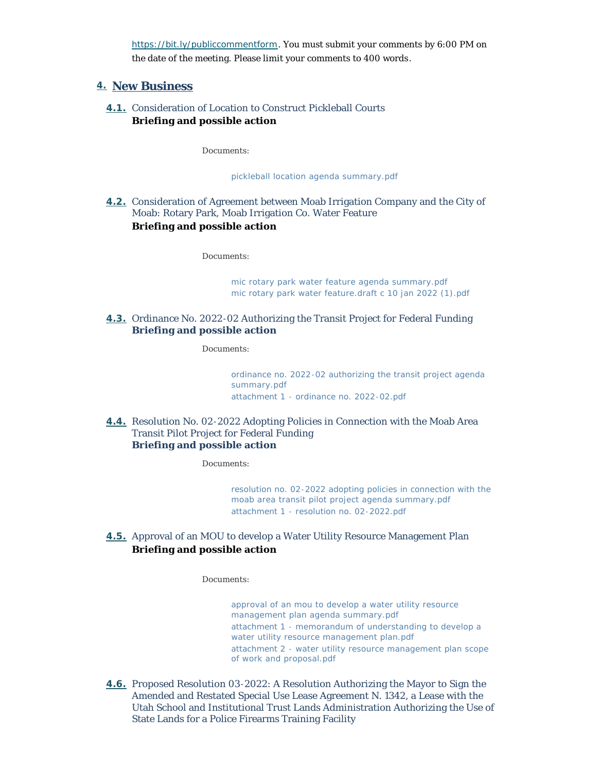*https://bit.ly/publiccommentform*. You must submit your comments by 6:00 PM on the date of the meeting. Please limit your comments to 400 words .

## **New Business 4.**

**4.1.** Consideration of Location to Construct Pickleball Courts **Briefing and possible action**

*Documents:*

*[pickleball location agenda summary.pdf](https://moabcity.org/AgendaCenter/ViewFile/Item/4463?fileID=5559)*

Consideration of Agreement between Moab Irrigation Company and the City of **4.2.** Moab: Rotary Park, Moab Irrigation Co. Water Feature **Briefing and possible action**

*Documents:*

*[mic rotary park water feature agenda summary.pdf](https://moabcity.org/AgendaCenter/ViewFile/Item/4465?fileID=5561) [mic rotary park water feature.draft c 10 jan 2022 \(1\).pdf](https://moabcity.org/AgendaCenter/ViewFile/Item/4465?fileID=5562)*

**4.3.** Ordinance No. 2022-02 Authorizing the Transit Project for Federal Funding **Briefing and possible action**

*Documents:*

*[ordinance no. 2022-02 authorizing the transit project agenda](https://moabcity.org/AgendaCenter/ViewFile/Item/4460?fileID=5555)  summary.pdf [attachment 1 - ordinance no. 2022-02.pdf](https://moabcity.org/AgendaCenter/ViewFile/Item/4460?fileID=5556)*

**4.4.** Resolution No. 02-2022 Adopting Policies in Connection with the Moab Area Transit Pilot Project for Federal Funding **Briefing and possible action**

*Documents:*

*[resolution no. 02-2022 adopting policies in connection with the](https://moabcity.org/AgendaCenter/ViewFile/Item/4461?fileID=5557)  moab area transit pilot project agenda summary.pdf [attachment 1 - resolution no. 02-2022.pdf](https://moabcity.org/AgendaCenter/ViewFile/Item/4461?fileID=5558)*

**4.5.** Approval of an MOU to develop a Water Utility Resource Management Plan **Briefing and possible action**

#### *Documents:*

*[approval of an mou to develop a water utility resource](https://moabcity.org/AgendaCenter/ViewFile/Item/4468?fileID=5563)  management plan agenda summary.pdf [attachment 1 - memorandum of understanding to develop a](https://moabcity.org/AgendaCenter/ViewFile/Item/4468?fileID=5564)  water utility resource management plan.pdf [attachment 2 - water utility resource management plan scope](https://moabcity.org/AgendaCenter/ViewFile/Item/4468?fileID=5565)  of work and proposal.pdf*

4.6. Proposed Resolution 03-2022: A Resolution Authorizing the Mayor to Sign the Amended and Restated Special Use Lease Agreement N. 1342, a Lease with the Utah School and Institutional Trust Lands Administration Authorizing the Use of State Lands for a Police Firearms Training Facility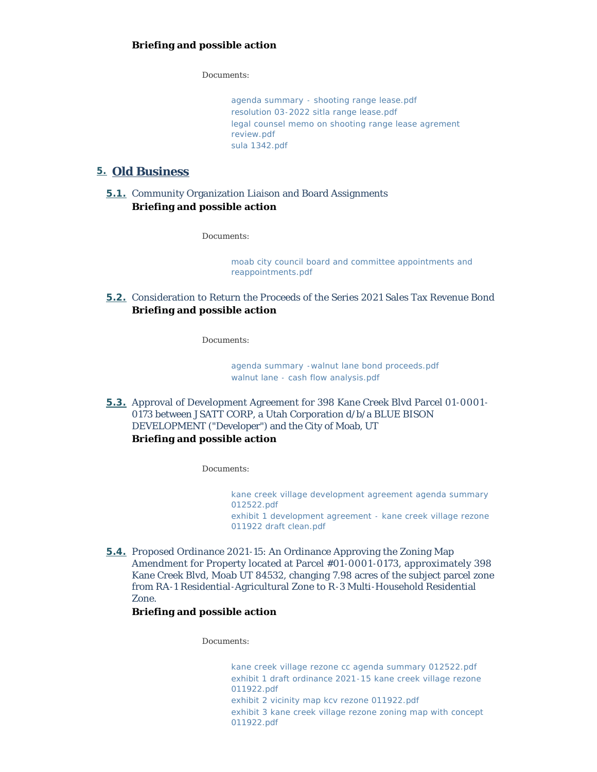*Documents:*

*[agenda summary - shooting range lease.pdf](https://moabcity.org/AgendaCenter/ViewFile/Item/4481?fileID=5574) [resolution 03-2022 sitla range lease.pdf](https://moabcity.org/AgendaCenter/ViewFile/Item/4481?fileID=5575) [legal counsel memo on shooting range lease agrement](https://moabcity.org/AgendaCenter/ViewFile/Item/4481?fileID=5576)  review.pdf [sula 1342.pdf](https://moabcity.org/AgendaCenter/ViewFile/Item/4481?fileID=5577)*

## **Old Business 5.**

## **5.1.** Community Organization Liaison and Board Assignments **Briefing and possible action**

*Documents:*

*[moab city council board and committee appointments and](https://moabcity.org/AgendaCenter/ViewFile/Item/4471?fileID=5578)  reappointments.pdf*

Consideration to Return the Proceeds of the Series 2021 Sales Tax Revenue Bond **5.2. Briefing and possible action**

*Documents:*

*[agenda summary -walnut lane bond proceeds.pdf](https://moabcity.org/AgendaCenter/ViewFile/Item/4479?fileID=5569) [walnut lane - cash flow analysis.pdf](https://moabcity.org/AgendaCenter/ViewFile/Item/4479?fileID=5570)*

**5.3.** Approval of Development Agreement for 398 Kane Creek Blvd Parcel 01-0001-0173 between JSATT CORP, a Utah Corporation d/b/a BLUE BISON DEVELOPMENT ("Developer") and the City of Moab, UT **Briefing and possible action**

#### *Documents:*

*[kane creek village development agreement agenda summary](https://moabcity.org/AgendaCenter/ViewFile/Item/4458?fileID=5543)  012522.pdf [exhibit 1 development agreement - kane creek village rezone](https://moabcity.org/AgendaCenter/ViewFile/Item/4458?fileID=5542)  011922 draft clean.pdf*

**5.4.** Proposed Ordinance 2021-15: An Ordinance Approving the Zoning Map Amendment for Property located at Parcel #01 -0001 -0173, approximately 398 Kane Creek Blvd, Moab UT 84532, changing 7.98 acres of the subject parcel zone from RA-1 Residential-Agricultural Zone to R-3 Multi-Household Residential Zone.

## **Briefing and possible action**

*Documents:*

*[kane creek village rezone cc agenda summary 012522.pdf](https://moabcity.org/AgendaCenter/ViewFile/Item/4459?fileID=5551) [exhibit 1 draft ordinance 2021-15 kane creek village rezone](https://moabcity.org/AgendaCenter/ViewFile/Item/4459?fileID=5552)  011922.pdf [exhibit 2 vicinity map kcv rezone 011922.pdf](https://moabcity.org/AgendaCenter/ViewFile/Item/4459?fileID=5553) [exhibit 3 kane creek village rezone zoning map with concept](https://moabcity.org/AgendaCenter/ViewFile/Item/4459?fileID=5554)  011922.pdf*